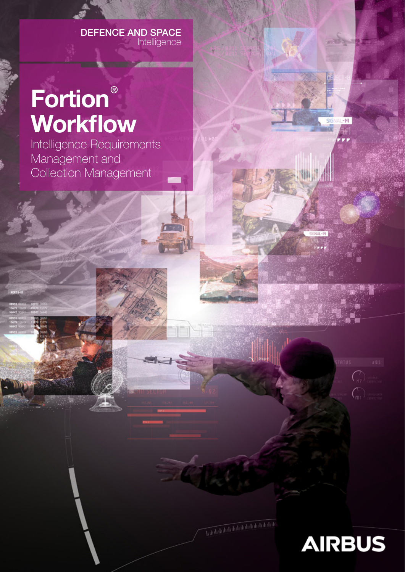#### DEFENCE AND SPACE Intelligence

# Fortion® Workflow

Intelligence Requirements Management and Collection Management



 $\mathcal{C}_{H2}$ 

 $\widehat{C}_{mn}$ 

 $516$